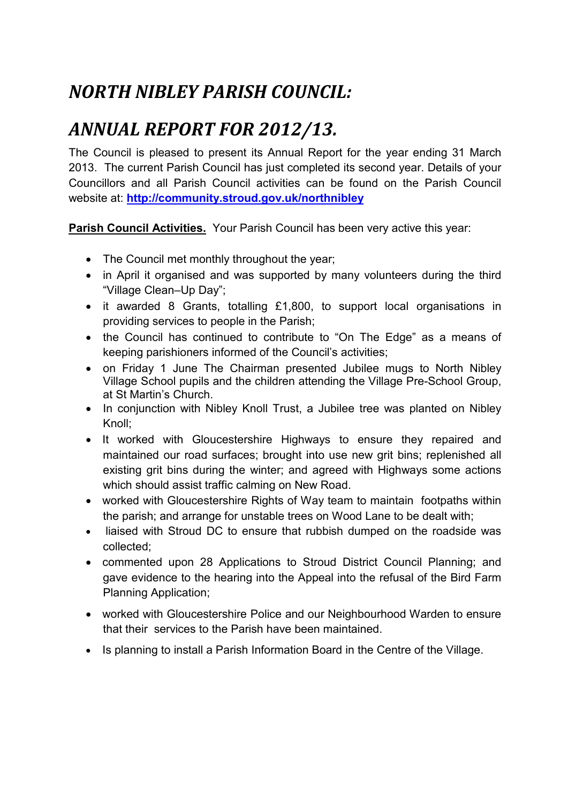## *NORTH NIBLEY PARISH COUNCIL:*

## *ANNUAL REPORT FOR 2012/13.*

The Council is pleased to present its Annual Report for the year ending 31 March 2013. The current Parish Council has just completed its second year. Details of your Councillors and all Parish Council activities can be found on the Parish Council website at: **http://community.stroud.gov.uk/northnibley**

**Parish Council Activities.** Your Parish Council has been very active this year:

- The Council met monthly throughout the year;
- in April it organised and was supported by many volunteers during the third "Village Clean–Up Day";
- it awarded 8 Grants, totalling £1,800, to support local organisations in providing services to people in the Parish;
- the Council has continued to contribute to "On The Edge" as a means of keeping parishioners informed of the Council's activities;
- on Friday 1 June The Chairman presented Jubilee mugs to North Nibley Village School pupils and the children attending the Village Pre-School Group, at St Martin's Church.
- In conjunction with Nibley Knoll Trust, a Jubilee tree was planted on Nibley Knoll;
- It worked with Gloucestershire Highways to ensure they repaired and maintained our road surfaces; brought into use new grit bins; replenished all existing grit bins during the winter; and agreed with Highways some actions which should assist traffic calming on New Road.
- worked with Gloucestershire Rights of Way team to maintain footpaths within the parish; and arrange for unstable trees on Wood Lane to be dealt with;
- liaised with Stroud DC to ensure that rubbish dumped on the roadside was collected;
- commented upon 28 Applications to Stroud District Council Planning; and gave evidence to the hearing into the Appeal into the refusal of the Bird Farm Planning Application;
- worked with Gloucestershire Police and our Neighbourhood Warden to ensure that their services to the Parish have been maintained.
- Is planning to install a Parish Information Board in the Centre of the Village.